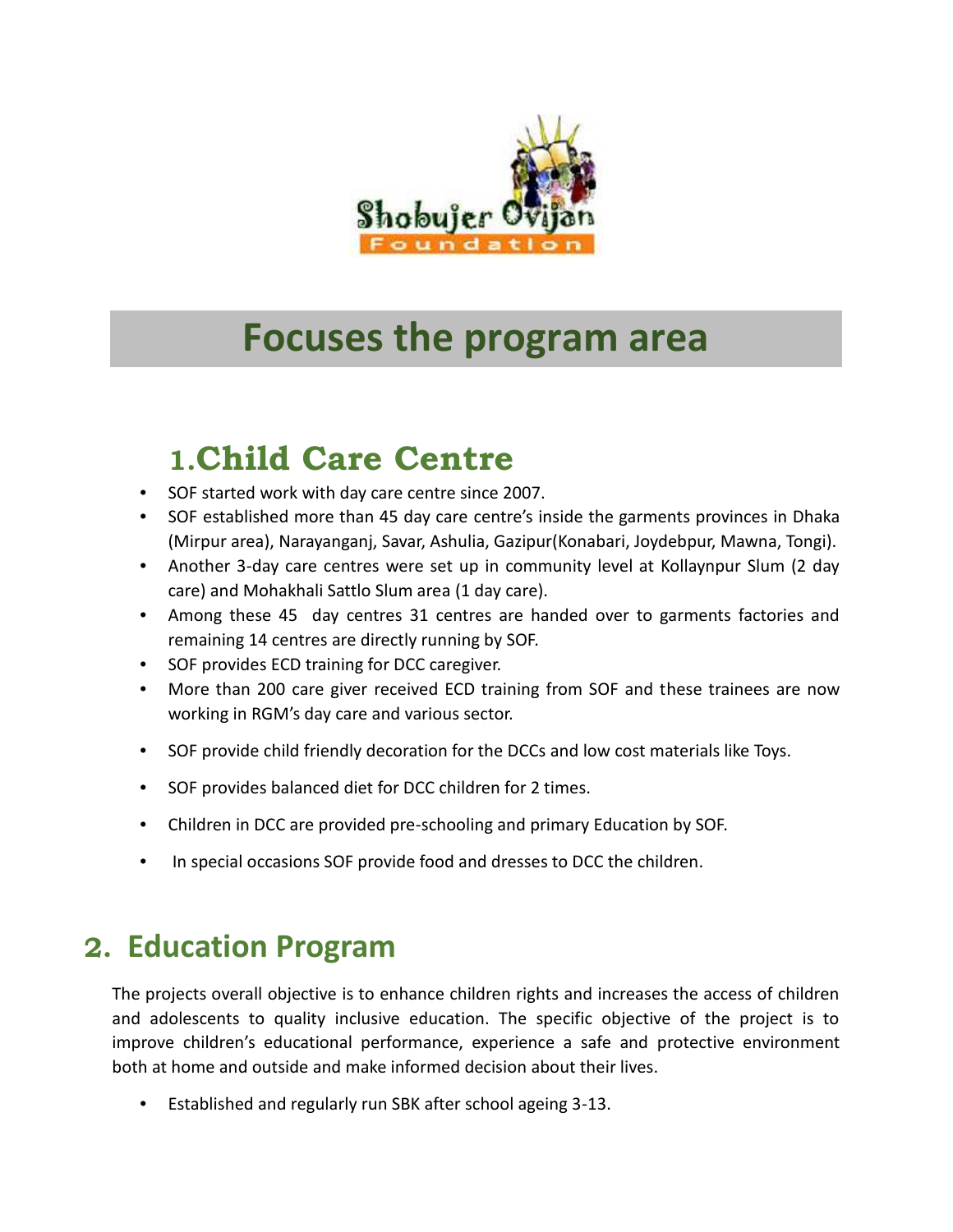

# **Focuses the program area**

# **1.Child Care Centre**

- SOF started work with day care centre since 2007.
- SOF established more than 45 day care centre's inside the garments provinces in Dhaka (Mirpur area), Narayanganj, Savar, Ashulia, Gazipur(Konabari, Joydebpur, Mawna, Tongi).
- Another 3-day care centres were set up in community level at Kollaynpur Slum (2 day care) and Mohakhali Sattlo Slum area (1 day care).
- Among these 45 day centres 31 centres are handed over to garments factories and remaining 14 centres are directly running by SOF.
- SOF provides ECD training for DCC caregiver.
- More than 200 care giver received ECD training from SOF and these trainees are now working in RGM's day care and various sector.
- SOF provide child friendly decoration for the DCCs and low cost materials like Toys.
- SOF provides balanced diet for DCC children for 2 times.
- Children in DCC are provided pre-schooling and primary Education by SOF.
- In special occasions SOF provide food and dresses to DCC the children.

### **2. Education Program**

The projects overall objective is to enhance children rights and increases the access of children and adolescents to quality inclusive education. The specific objective of the project is to improve children's educational performance, experience a safe and protective environment both at home and outside and make informed decision about their lives.

• Established and regularly run SBK after school ageing 3-13.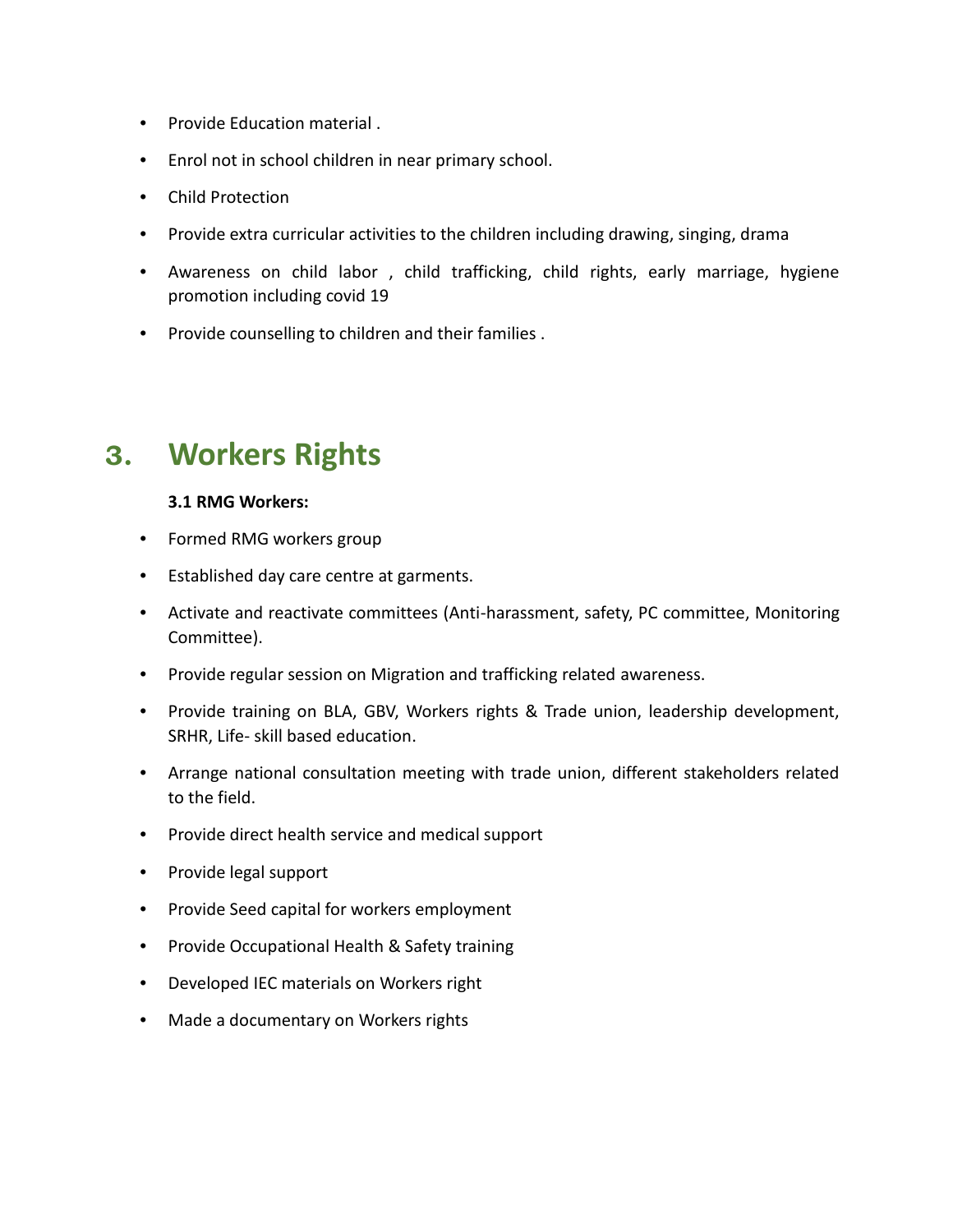- Provide Education material .
- Enrol not in school children in near primary school.
- Child Protection
- Provide extra curricular activities to the children including drawing, singing, drama
- Awareness on child labor , child trafficking, child rights, early marriage, hygiene promotion including covid 19
- Provide counselling to children and their families .

### **3. Workers Rights**

#### **3.1 RMG Workers:**

- Formed RMG workers group
- Established day care centre at garments.
- Activate and reactivate committees (Anti-harassment, safety, PC committee, Monitoring Committee).
- Provide regular session on Migration and trafficking related awareness.
- Provide training on BLA, GBV, Workers rights & Trade union, leadership development, SRHR, Life- skill based education.
- Arrange national consultation meeting with trade union, different stakeholders related to the field.
- Provide direct health service and medical support
- Provide legal support
- Provide Seed capital for workers employment
- Provide Occupational Health & Safety training
- Developed IEC materials on Workers right
- Made a documentary on Workers rights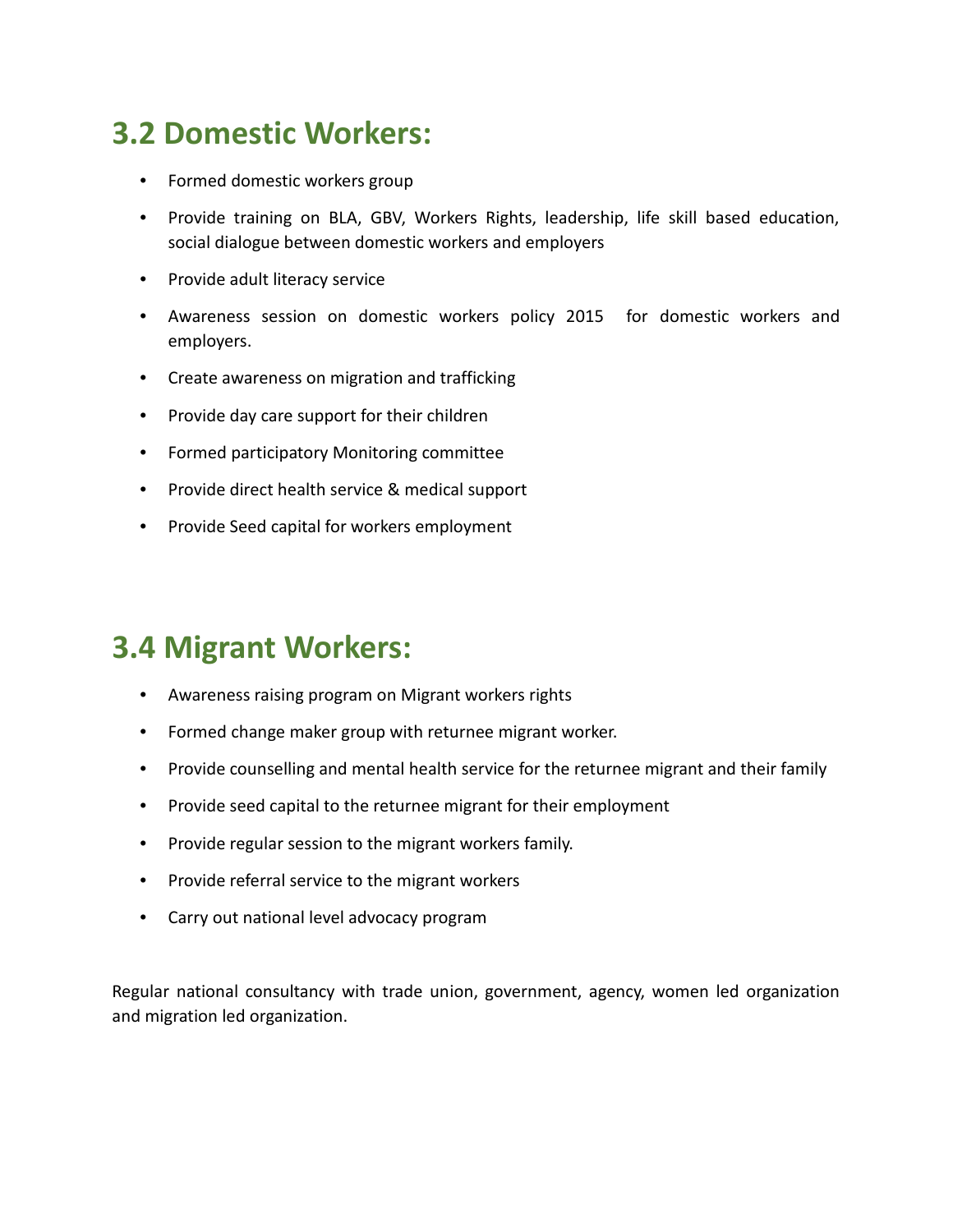### **3.2 Domestic Workers:**

- Formed domestic workers group
- Provide training on BLA, GBV, Workers Rights, leadership, life skill based education, social dialogue between domestic workers and employers
- Provide adult literacy service
- Awareness session on domestic workers policy 2015 for domestic workers and employers.
- Create awareness on migration and trafficking
- Provide day care support for their children
- Formed participatory Monitoring committee
- Provide direct health service & medical support
- Provide Seed capital for workers employment

### **3.4 Migrant Workers:**

- Awareness raising program on Migrant workers rights
- Formed change maker group with returnee migrant worker.
- Provide counselling and mental health service for the returnee migrant and their family
- Provide seed capital to the returnee migrant for their employment
- Provide regular session to the migrant workers family.
- Provide referral service to the migrant workers
- Carry out national level advocacy program

Regular national consultancy with trade union, government, agency, women led organization and migration led organization.